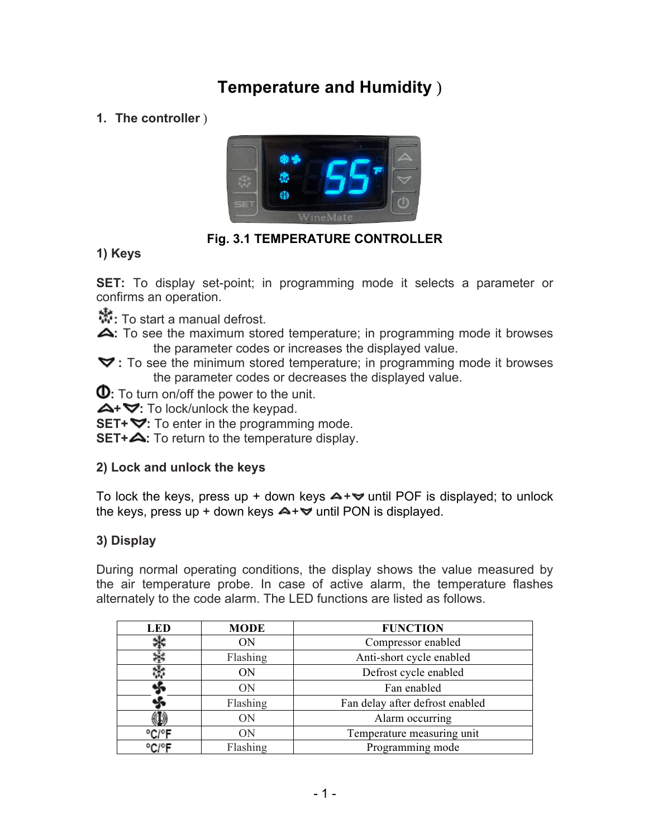# **Temperature and Humidity** )

# **1. The controller** )



# **Fig. 3.1 TEMPERATURE CONTROLLER**

# **1) Keys**

 **SET:** To display set-point; in programming mode it selects a parameter or confirms an operation.

**:** To start a manual defrost.

 the parameter codes or increases the displayed value. **:** To see the maximum stored temperature; in programming mode it browses

 **:** To see the minimum stored temperature; in programming mode it browses the parameter codes or decreases the displayed value.

**:** To turn on/off the power to the unit.

**+ :** To lock/unlock the keypad.

**SET+**  $\blacktriangledown$ **:** To enter in the programming mode.

**SET+ <.** To return to the temperature display.

## **2) Lock and unlock the keys**

To lock the keys, press up + down keys  $\blacktriangle + \blacktriangledown$  until POF is displayed; to unlock the keys, press up + down keys  $\blacktriangle + \blacktriangledown$  until PON is displayed.

# **3) Display**

 During normal operating conditions, the display shows the value measured by the air temperature probe. In case of active alarm, the temperature flashes alternately to the code alarm. The LED functions are listed as follows.

| LED   | <b>MODE</b> | <b>FUNCTION</b>                 |
|-------|-------------|---------------------------------|
|       | ΟN          | Compressor enabled              |
|       | Flashing    | Anti-short cycle enabled        |
|       | ON          | Defrost cycle enabled           |
|       | ON          | Fan enabled                     |
|       | Flashing    | Fan delay after defrost enabled |
|       | <b>ON</b>   | Alarm occurring                 |
| °C/°F | ON          | Temperature measuring unit      |
| °C/°F | Flashing    | Programming mode                |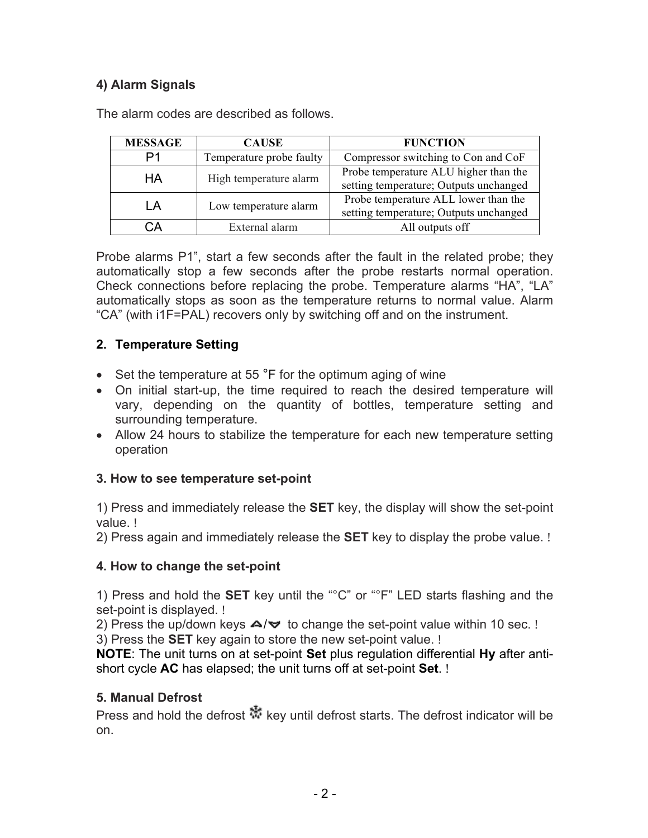# **4) Alarm Signals**

| <b>MESSAGE</b> | <b>CAUSE</b>             | <b>FUNCTION</b>                        |
|----------------|--------------------------|----------------------------------------|
|                | Temperature probe faulty | Compressor switching to Con and CoF    |
| HA             | High temperature alarm   | Probe temperature ALU higher than the  |
|                |                          | setting temperature; Outputs unchanged |
| ΙA             | Low temperature alarm    | Probe temperature ALL lower than the   |
|                |                          | setting temperature; Outputs unchanged |
| ùА             | External alarm           | All outputs off                        |

The alarm codes are described as follows.

 Probe alarms P1", start a few seconds after the fault in the related probe; they automatically stop a few seconds after the probe restarts normal operation. Check connections before replacing the probe. Temperature alarms "HA", "LA" automatically stops as soon as the temperature returns to normal value. Alarm "CA" (with i1F=PAL) recovers only by switching off and on the instrument.

# **2. Temperature Setting**

- Set the temperature at 55 °F for the optimum aging of wine
- On initial start-up, the time required to reach the desired temperature will vary, depending on the quantity of bottles, temperature setting and surrounding temperature.
- Allow 24 hours to stabilize the temperature for each new temperature setting operation

## **3. How to see temperature set-point**

 1) Press and immediately release the **SET** key, the display will show the set-point value. !

2) Press again and immediately release the **SET** key to display the probe value. !

## **4. How to change the set-point**

 1) Press and hold the **SET** key until the "°C" or "°F" LED starts flashing and the set-point is displayed. !

2) Press the up/down keys  $\blacktriangle / \blacktriangledown$  to change the set-point value within 10 sec. !

3) Press the **SET** key again to store the new set-point value. !

 **NOTE**: The unit turns on at set-point **Set** plus regulation differential **Hy** after anti-short cycle **AC** has elapsed; the unit turns off at set-point **Set**. !

## **5. Manual Defrost**

Press and hold the defrost  $\mathbb{R}^k$  key until defrost starts. The defrost indicator will be on.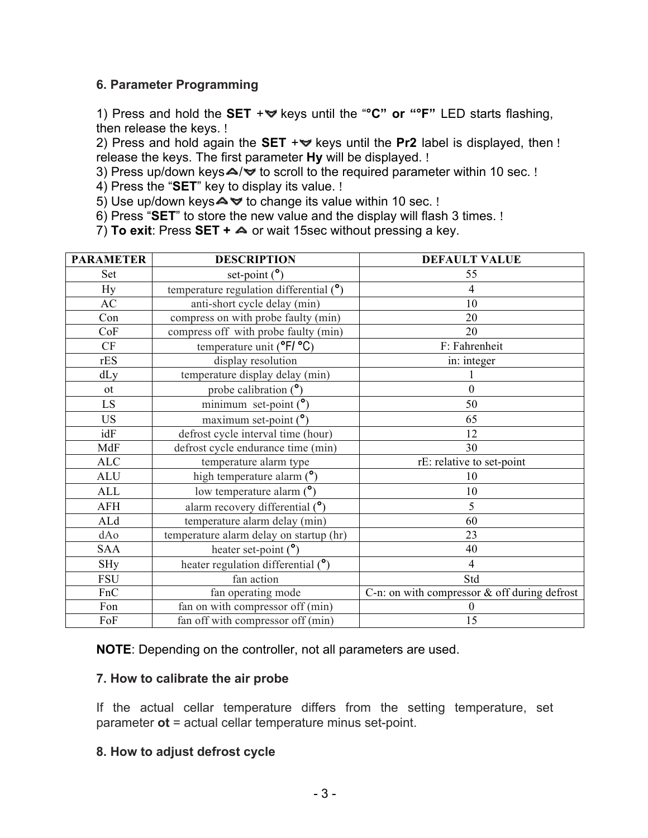#### **6. Parameter Programming**

1) Press and hold the **SET** +**▽** keys until the "°C" or "°F" LED starts flashing, then release the keys. !

2) Press and hold again the SET +**₩** keys until the Pr2 label is displayed, then ! release the keys. The first parameter **Hy** will be displayed. !

3) Press up/down keys $\blacktriangle/\blacktriangledown$  to scroll to the required parameter within 10 sec. !

4) Press the "**SET**" key to display its value. !

5) Use up/down keys $\blacktriangle \blacktriangledown$  to change its value within 10 sec. !

6) Press "**SET**" to store the new value and the display will flash 3 times. !

7) **To exit**: Press **SET +** or wait 15sec without pressing a key.

| <b>PARAMETER</b> | <b>DESCRIPTION</b>                           | <b>DEFAULT VALUE</b>                            |
|------------------|----------------------------------------------|-------------------------------------------------|
| Set              | set-point $(°)$                              | 55                                              |
| Hy               | temperature regulation differential $(°)$    | 4                                               |
| AC               | anti-short cycle delay (min)                 | 10                                              |
| Con              | compress on with probe faulty (min)          | 20                                              |
| CoF              | compress off with probe faulty (min)         | 20                                              |
| CF               | temperature unit ( $\degree$ F/ $\degree$ C) | F: Fahrenheit                                   |
| rES              | display resolution                           | in: integer                                     |
| dLy              | temperature display delay (min)              |                                                 |
| <sub>ot</sub>    | probe calibration $(°)$                      | $\overline{0}$                                  |
| LS               | minimum set-point $(°)$                      | 50                                              |
| <b>US</b>        | maximum set-point $(°)$                      | 65                                              |
| idF              | defrost cycle interval time (hour)           | 12                                              |
| MdF              | defrost cycle endurance time (min)           | 30                                              |
| ALC              | temperature alarm type                       | rE: relative to set-point                       |
| <b>ALU</b>       | high temperature alarm $(°)$                 | 10                                              |
| <b>ALL</b>       | low temperature alarm $(°)$                  | 10                                              |
| <b>AFH</b>       | alarm recovery differential $(°)$            | 5                                               |
| ALd              | temperature alarm delay (min)                | 60                                              |
| dAo              | temperature alarm delay on startup (hr)      | 23                                              |
| <b>SAA</b>       | heater set-point $(°)$                       | 40                                              |
| <b>SHy</b>       | heater regulation differential $(°)$         | 4                                               |
| <b>FSU</b>       | fan action                                   | Std                                             |
| FnC              | fan operating mode                           | C-n: on with compressor $\&$ off during defrost |
| Fon              | fan on with compressor off (min)             | $\theta$                                        |
| FoF              | fan off with compressor off (min)            | 15                                              |

**NOTE**: Depending on the controller, not all parameters are used.

#### **7. How to calibrate the air probe**

 If the actual cellar temperature differs from the setting temperature, set parameter **ot** = actual cellar temperature minus set-point.

#### **8. How to adjust defrost cycle**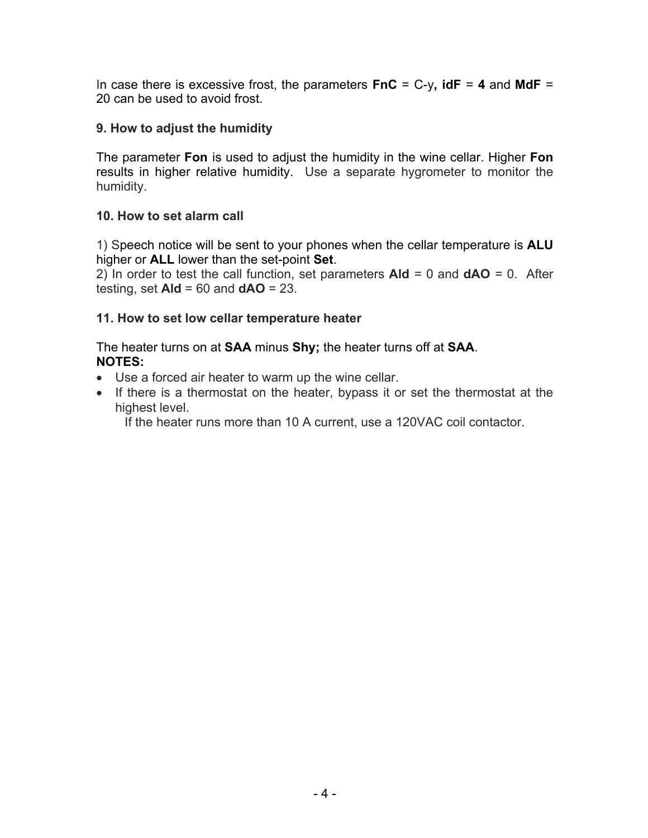In case there is excessive frost, the parameters **FnC** = C-y**, idF** = **4** and **MdF** = 20 can be used to avoid frost.

#### **9. How to adjust the humidity**

 The parameter **Fon** is used to adjust the humidity in the wine cellar. Higher **Fon**  results in higher relative humidity. Use a separate hygrometer to monitor the humidity.

#### **10. How to set alarm call**

 1) Speech notice will be sent to your phones when the cellar temperature is **ALU**  higher or **ALL** lower than the set-point **Set**.

 2) In order to test the call function, set parameters **Ald** = 0 and **dAO** = 0. After testing, set **Ald** = 60 and **dAO** = 23.

#### **11. How to set low cellar temperature heater**

 The heater turns on at **SAA** minus **Shy;** the heater turns off at **SAA**. **NOTES:** 

- Use a forced air heater to warm up the wine cellar.
- • If there is a thermostat on the heater, bypass it or set the thermostat at the highest level.

If the heater runs more than 10 A current, use a 120VAC coil contactor.